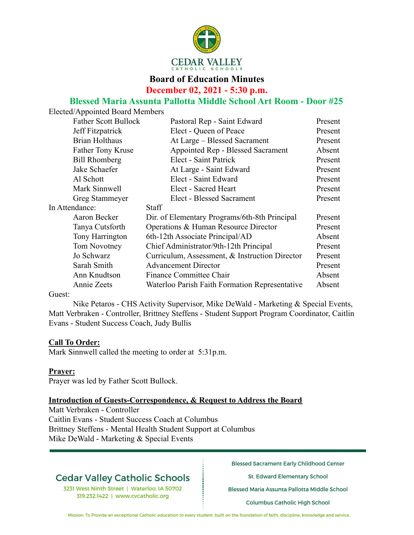

# **Board of Education Minutes December 02, 2021 - 5:30 p.m.**

## **Blessed Maria Assunta Pallotta Middle School Art Room - Door #25**

Elected/Appointed Board Members

| <b>Father Scott Bullock</b> | Pastoral Rep - Saint Edward                    | Present |
|-----------------------------|------------------------------------------------|---------|
| Jeff Fitzpatrick            | Elect - Queen of Peace                         | Present |
| <b>Brian Holthaus</b>       | At Large – Blessed Sacrament                   | Present |
| Father Tony Kruse           | Appointed Rep - Blessed Sacrament              | Absent  |
| <b>Bill Rhomberg</b>        | Elect - Saint Patrick                          | Present |
| Jake Schaefer               | At Large - Saint Edward                        | Present |
| Al Schott                   | Elect - Saint Edward                           | Present |
| Mark Sinnwell               | Elect - Sacred Heart                           | Present |
| Greg Stammeyer              | <b>Elect - Blessed Sacrament</b>               | Present |
| In Attendance:              | Staff                                          |         |
| Aaron Becker                | Dir. of Elementary Programs/6th-8th Principal  | Present |
| Tanya Cutsforth             | Operations & Human Resource Director           | Present |
| Tony Harrington             | 6th-12th Associate Principal/AD                | Absent  |
| Tom Novotney                | Chief Administrator/9th-12th Principal         | Present |
| Jo Schwarz                  | Curriculum, Assessment, & Instruction Director | Present |
| Sarah Smith                 | <b>Advancement Director</b>                    | Present |
| Ann Knudtson                | Finance Committee Chair                        | Absent  |
| Annie Zeets                 | Waterloo Parish Faith Formation Representative | Absent  |
|                             |                                                |         |

#### Guest:

Nike Petaros - CHS Activity Supervisor, Mike DeWald - Marketing & Special Events, Matt Verbraken - Controller, Brittney Steffens - Student Support Program Coordinator, Caitlin Evans - Student Success Coach, Judy Bullis

#### **Call To Order:**

Mark Sinnwell called the meeting to order at 5:31p.m.

#### **Prayer:**

Prayer was led by Father Scott Bullock.

#### **Introduction of Guests-Correspondence, & Request to Address the Board**

Matt Verbraken - Controller Caitlin Evans - Student Success Coach at Columbus Brittney Steffens - Mental Health Student Support at Columbus Mike DeWald - Marketing & Special Events

# **Cedar Valley Catholic Schools**

3231 West Ninth Street | Waterloo, IA 50702 319.232.1422 | www.cvcatholic.org

**Blessed Sacrament Early Childhood Center** 

St. Edward Elementary School

Blessed Maria Assunta Pallotta Middle School

**Columbus Catholic High School**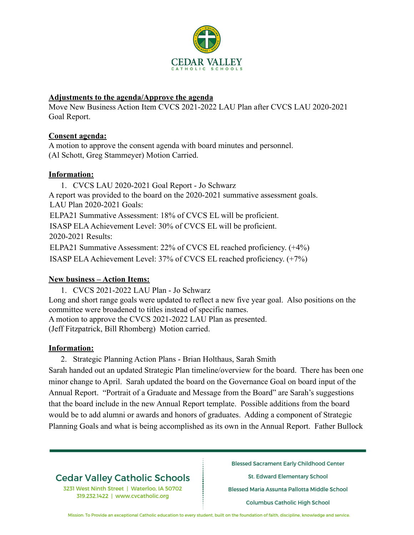

### **Adjustments to the agenda/Approve the agenda**

Move New Business Action Item CVCS 2021-2022 LAU Plan after CVCS LAU 2020-2021 Goal Report.

## **Consent agenda:**

A motion to approve the consent agenda with board minutes and personnel. (Al Schott, Greg Stammeyer) Motion Carried.

## **Information:**

1. CVCS LAU 2020-2021 Goal Report - Jo Schwarz A report was provided to the board on the 2020-2021 summative assessment goals. LAU Plan 2020-2021 Goals: ELPA21 Summative Assessment: 18% of CVCS EL will be proficient. ISASP ELAAchievement Level: 30% of CVCS EL will be proficient. 2020-2021 Results: ELPA21 Summative Assessment: 22% of CVCS EL reached proficiency. (+4%) ISASP ELAAchievement Level: 37% of CVCS EL reached proficiency. (+7%)

# **New business – Action Items:**

1. CVCS 2021-2022 LAU Plan - Jo Schwarz Long and short range goals were updated to reflect a new five year goal. Also positions on the committee were broadened to titles instead of specific names. A motion to approve the CVCS 2021-2022 LAU Plan as presented. (Jeff Fitzpatrick, Bill Rhomberg) Motion carried.

# **Information:**

2. Strategic Planning Action Plans - Brian Holthaus, Sarah Smith Sarah handed out an updated Strategic Plan timeline/overview for the board. There has been one minor change to April. Sarah updated the board on the Governance Goal on board input of the Annual Report. "Portrait of a Graduate and Message from the Board" are Sarah's suggestions that the board include in the new Annual Report template. Possible additions from the board would be to add alumni or awards and honors of graduates. Adding a component of Strategic Planning Goals and what is being accomplished as its own in the Annual Report. Father Bullock

# **Cedar Valley Catholic Schools**

3231 West Ninth Street | Waterloo, IA 50702 319.232.1422 | www.cvcatholic.org

**Blessed Sacrament Early Childhood Center** 

St. Edward Elementary School

Blessed Maria Assunta Pallotta Middle School

**Columbus Catholic High School**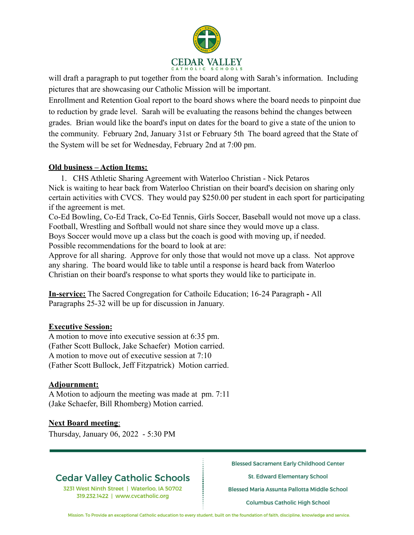

will draft a paragraph to put together from the board along with Sarah's information. Including pictures that are showcasing our Catholic Mission will be important.

Enrollment and Retention Goal report to the board shows where the board needs to pinpoint due to reduction by grade level. Sarah will be evaluating the reasons behind the changes between grades. Brian would like the board's input on dates for the board to give a state of the union to the community. February 2nd, January 31st or February 5th The board agreed that the State of the System will be set for Wednesday, February 2nd at 7:00 pm.

### **Old business – Action Items:**

1. CHS Athletic Sharing Agreement with Waterloo Christian - Nick Petaros Nick is waiting to hear back from Waterloo Christian on their board's decision on sharing only certain activities with CVCS. They would pay \$250.00 per student in each sport for participating if the agreement is met.

Co-Ed Bowling, Co-Ed Track, Co-Ed Tennis, Girls Soccer, Baseball would not move up a class. Football, Wrestling and Softball would not share since they would move up a class. Boys Soccer would move up a class but the coach is good with moving up, if needed. Possible recommendations for the board to look at are:

Approve for all sharing. Approve for only those that would not move up a class. Not approve any sharing. The board would like to table until a response is heard back from Waterloo Christian on their board's response to what sports they would like to participate in.

**In-service:** The Sacred Congregation for Cathoilc Education; 16-24 Paragraph **-** All Paragraphs 25-32 will be up for discussion in January.

#### **Executive Session:**

A motion to move into executive session at 6:35 pm. (Father Scott Bullock, Jake Schaefer) Motion carried. A motion to move out of executive session at 7:10 (Father Scott Bullock, Jeff Fitzpatrick) Motion carried.

### **Adjournment:**

A Motion to adjourn the meeting was made at pm. 7:11 (Jake Schaefer, Bill Rhomberg) Motion carried.

### **Next Board meeting**:

Thursday, January 06, 2022 - 5:30 PM

# **Cedar Valley Catholic Schools**

3231 West Ninth Street | Waterloo, IA 50702 319.232.1422 | www.cvcatholic.org

**Blessed Sacrament Early Childhood Center** 

St. Edward Elementary School

Blessed Maria Assunta Pallotta Middle School

**Columbus Catholic High School**